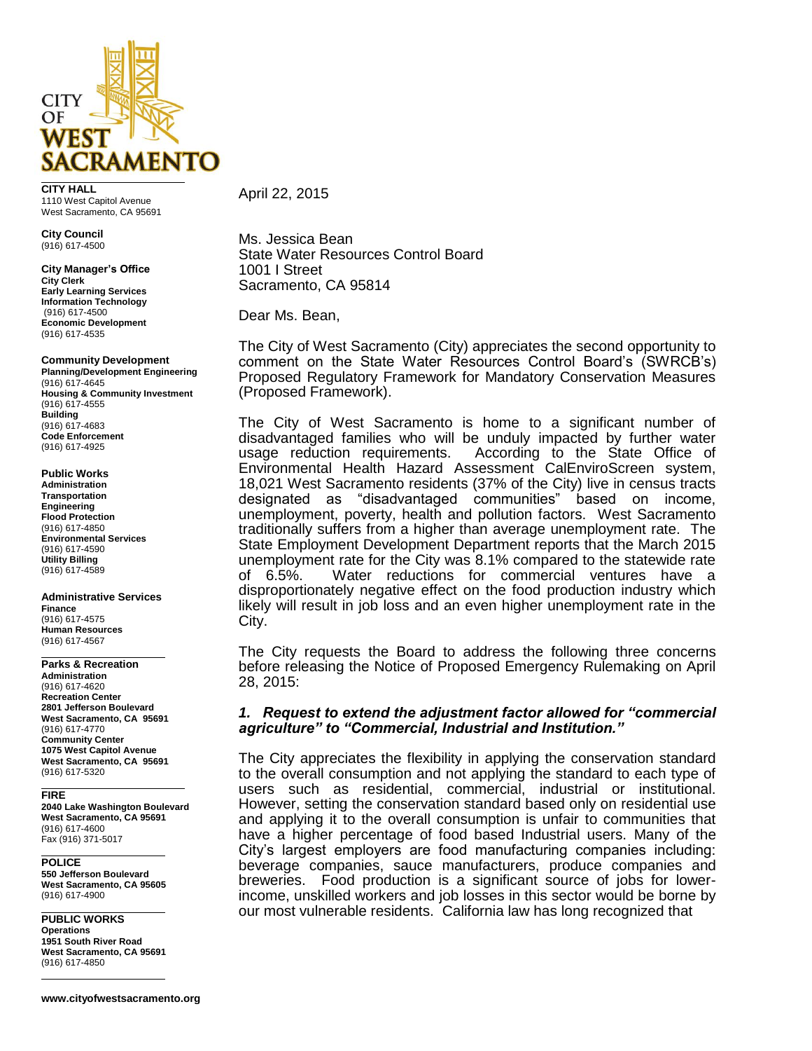

**CITY HALL** 1110 West Capitol Avenue West Sacramento, CA 95691

**City Council** (916) 617-4500

**City Manager's Office City Clerk Early Learning Services Information Technology** (916) 617-4500 **Economic Development** (916) 617-4535

#### **Community Development**

**Planning/Development Engineering** (916) 617-4645 **Housing & Community Investment** (916) 617-4555 **Building** (916) 617-4683 **Code Enforcement** (916) 617-4925

## **Public Works**

**Administration Transportation Engineering Flood Protection** (916) 617-4850 **Environmental Services** (916) 617-4590 **Utility Billing** (916) 617-4589

# **Administrative Services**

**Finance** (916) 617-4575 **Human Resources** (916) 617-4567

## **Parks & Recreation**

**Administration** (916) 617-4620 **Recreation Center 2801 Jefferson Boulevard West Sacramento, CA 95691** (916) 617-4770 **Community Center 1075 West Capitol Avenue West Sacramento, CA 95691** (916) 617-5320

#### **FIRE**

**2040 Lake Washington Boulevard West Sacramento, CA 95691** (916) 617-4600 Fax (916) 371-5017

## **POLICE**

**550 Jefferson Boulevard West Sacramento, CA 95605** (916) 617-4900

**PUBLIC WORKS Operations 1951 South River Road West Sacramento, CA 95691** (916) 617-4850

**www.cityofwestsacramento.org**

April 22, 2015

Ms. Jessica Bean State Water Resources Control Board 1001 I Street Sacramento, CA 95814

Dear Ms. Bean,

The City of West Sacramento (City) appreciates the second opportunity to comment on the State Water Resources Control Board's (SWRCB's) Proposed Regulatory Framework for Mandatory Conservation Measures (Proposed Framework).

The City of West Sacramento is home to a significant number of disadvantaged families who will be unduly impacted by further water usage reduction requirements. According to the State Office of According to the State Office of Environmental Health Hazard Assessment CalEnviroScreen system, 18,021 West Sacramento residents (37% of the City) live in census tracts designated as "disadvantaged communities" based on income, unemployment, poverty, health and pollution factors. West Sacramento traditionally suffers from a higher than average unemployment rate. The State Employment Development Department reports that the March 2015 unemployment rate for the City was 8.1% compared to the statewide rate of 6.5%. Water reductions for commercial ventures have a disproportionately negative effect on the food production industry which likely will result in job loss and an even higher unemployment rate in the City.

The City requests the Board to address the following three concerns before releasing the Notice of Proposed Emergency Rulemaking on April 28, 2015:

# *1. Request to extend the adjustment factor allowed for "commercial agriculture" to "Commercial, Industrial and Institution."*

The City appreciates the flexibility in applying the conservation standard to the overall consumption and not applying the standard to each type of users such as residential, commercial, industrial or institutional. However, setting the conservation standard based only on residential use and applying it to the overall consumption is unfair to communities that have a higher percentage of food based Industrial users. Many of the City's largest employers are food manufacturing companies including: beverage companies, sauce manufacturers, produce companies and breweries. Food production is a significant source of jobs for lowerincome, unskilled workers and job losses in this sector would be borne by our most vulnerable residents. California law has long recognized that